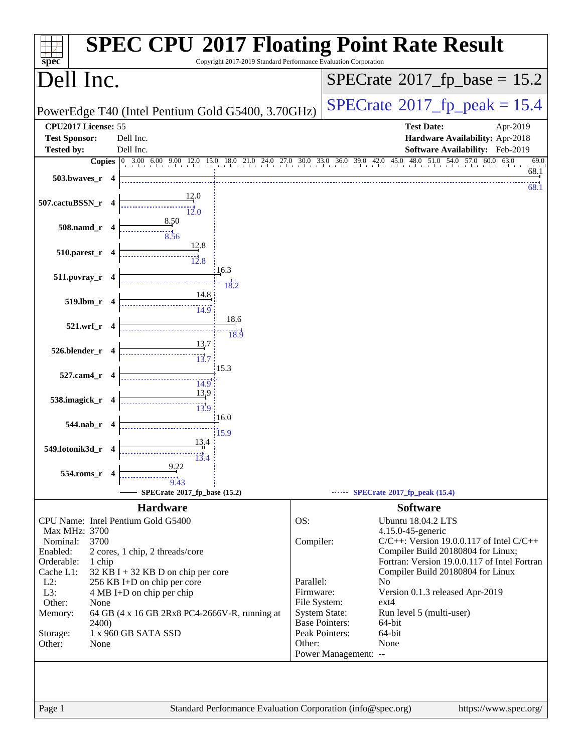| Copyright 2017-2019 Standard Performance Evaluation Corporation<br>spec <sup>®</sup> | <b>SPEC CPU®2017 Floating Point Rate Result</b>                                      |
|--------------------------------------------------------------------------------------|--------------------------------------------------------------------------------------|
| Dell Inc.                                                                            | $SPECrate^{\circ}2017$ fp base = 15.2                                                |
| PowerEdge T40 (Intel Pentium Gold G5400, 3.70GHz)                                    | $SPECrate^{\circ}2017$ fp peak = 15.4                                                |
| CPU2017 License: 55                                                                  | <b>Test Date:</b><br>Apr-2019                                                        |
| <b>Test Sponsor:</b><br>Dell Inc.                                                    | Hardware Availability: Apr-2018                                                      |
| <b>Tested by:</b><br>Dell Inc.                                                       | Software Availability: Feb-2019<br>69.0                                              |
| <b>Copies</b><br>3.00 6.00 9.00 12.0<br>18.0 21.0 24.0 27.0<br>15.0                  | 45.0<br>48.0<br>51.0<br>63.0<br>30.0 33.0 36.0 39.0<br>60.0<br>$^{42.0}$<br>68.1     |
| 503.bwaves_r                                                                         | 68.1                                                                                 |
| <u>12.0</u><br>507.cactuBSSN_r                                                       |                                                                                      |
| 12.0                                                                                 |                                                                                      |
| 8.50<br>$508$ .namd_r<br>4                                                           |                                                                                      |
| 8.56<br>12.8                                                                         |                                                                                      |
| 510.parest_r<br>4<br>12.8                                                            |                                                                                      |
| 16.3<br>511.povray_r                                                                 |                                                                                      |
| 18.2                                                                                 |                                                                                      |
| 14.8<br>519.lbm_r                                                                    |                                                                                      |
| 14.9<br>18.6                                                                         |                                                                                      |
| $521.wrf_r$<br>18.9                                                                  |                                                                                      |
| 13.7<br>526.blender_r                                                                |                                                                                      |
| $\frac{1}{13.7}$<br>15.3                                                             |                                                                                      |
| 527.cam4_r                                                                           |                                                                                      |
| 14.9<br>13.9                                                                         |                                                                                      |
| 538.imagick_r<br>$\overline{\mathbf{4}}$<br>$\frac{1}{13.9}$                         |                                                                                      |
| 16.0<br>544.nab_r                                                                    |                                                                                      |
| 15.9<br>13,4                                                                         |                                                                                      |
| 549.fotonik3d_r<br>13.4                                                              |                                                                                      |
| 9.22                                                                                 |                                                                                      |
| 554.roms_r                                                                           |                                                                                      |
| SPECrate®2017_fp_base (15.2)                                                         | SPECrate®2017_fp_peak (15.4)                                                         |
| <b>Hardware</b>                                                                      | <b>Software</b>                                                                      |
| CPU Name: Intel Pentium Gold G5400                                                   | <b>Ubuntu 18.04.2 LTS</b><br>OS:                                                     |
| Max MHz: 3700<br>Nominal:<br>3700                                                    | 4.15.0-45-generic<br>$C/C++$ : Version 19.0.0.117 of Intel $C/C++$<br>Compiler:      |
| Enabled:<br>2 cores, 1 chip, 2 threads/core                                          | Compiler Build 20180804 for Linux;                                                   |
| Orderable:<br>1 chip                                                                 | Fortran: Version 19.0.0.117 of Intel Fortran                                         |
| Cache L1:<br>$32$ KB I + 32 KB D on chip per core                                    | Compiler Build 20180804 for Linux                                                    |
| $L2$ :<br>256 KB I+D on chip per core                                                | Parallel:<br>No                                                                      |
| L3:<br>4 MB I+D on chip per chip<br>Other:<br>None                                   | Firmware:<br>Version 0.1.3 released Apr-2019<br>File System:<br>$ext{4}$             |
| 64 GB (4 x 16 GB 2Rx8 PC4-2666V-R, running at<br>Memory:                             | <b>System State:</b><br>Run level 5 (multi-user)                                     |
| 2400)                                                                                | <b>Base Pointers:</b><br>64-bit                                                      |
| 1 x 960 GB SATA SSD<br>Storage:                                                      | Peak Pointers:<br>64-bit                                                             |
| Other:<br>None                                                                       | None<br>Other:                                                                       |
|                                                                                      | Power Management: --                                                                 |
|                                                                                      |                                                                                      |
|                                                                                      |                                                                                      |
| Page 1                                                                               | Standard Performance Evaluation Corporation (info@spec.org)<br>https://www.spec.org/ |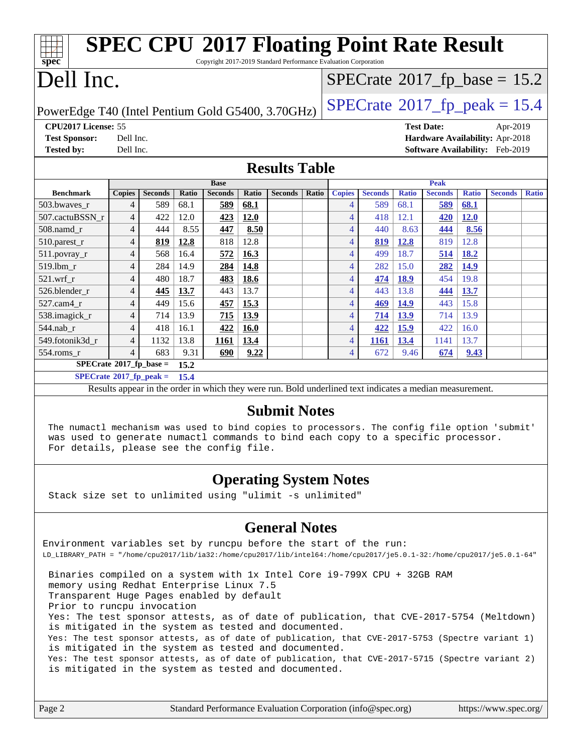| <b>SPEC CPU®2017 Floating Point Rate Result</b>                                    |                                                                   |                |              |                |              |                |       |                          |                |              |                |                                 |                |              |
|------------------------------------------------------------------------------------|-------------------------------------------------------------------|----------------|--------------|----------------|--------------|----------------|-------|--------------------------|----------------|--------------|----------------|---------------------------------|----------------|--------------|
| spec<br>Copyright 2017-2019 Standard Performance Evaluation Corporation            |                                                                   |                |              |                |              |                |       |                          |                |              |                |                                 |                |              |
| Dell Inc.                                                                          |                                                                   |                |              |                |              |                |       |                          |                |              |                | $SPECrate@2017_fp\_base = 15.2$ |                |              |
| $SPECTate@2017fp peak = 15.4$<br>PowerEdge T40 (Intel Pentium Gold G5400, 3.70GHz) |                                                                   |                |              |                |              |                |       |                          |                |              |                |                                 |                |              |
| CPU2017 License: 55<br><b>Test Date:</b><br>Apr-2019                               |                                                                   |                |              |                |              |                |       |                          |                |              |                |                                 |                |              |
| Hardware Availability: Apr-2018<br><b>Test Sponsor:</b><br>Dell Inc.               |                                                                   |                |              |                |              |                |       |                          |                |              |                |                                 |                |              |
|                                                                                    | <b>Tested by:</b><br>Software Availability: Feb-2019<br>Dell Inc. |                |              |                |              |                |       |                          |                |              |                |                                 |                |              |
|                                                                                    | <b>Results Table</b>                                              |                |              |                |              |                |       |                          |                |              |                |                                 |                |              |
|                                                                                    |                                                                   |                |              | <b>Base</b>    |              |                |       |                          |                |              | <b>Peak</b>    |                                 |                |              |
| <b>Benchmark</b>                                                                   | <b>Copies</b>                                                     | <b>Seconds</b> | <b>Ratio</b> | <b>Seconds</b> | <b>Ratio</b> | <b>Seconds</b> | Ratio | <b>Copies</b>            | <b>Seconds</b> | <b>Ratio</b> | <b>Seconds</b> | <b>Ratio</b>                    | <b>Seconds</b> | <b>Ratio</b> |
| 503.bwaves_r                                                                       | 4                                                                 | 589            | 68.1         | 589            | 68.1         |                |       | $\overline{4}$           | 589            | 68.1         | 589            | 68.1                            |                |              |
| 507.cactuBSSN r                                                                    | 4                                                                 | 422            | 12.0         | 423            | 12.0         |                |       | $\overline{4}$           | 418            | 12.1         | 420            | <b>12.0</b>                     |                |              |
| $508$ .namd $r$                                                                    | $\overline{4}$                                                    | 444            | 8.55         | 447            | 8.50         |                |       | 4                        | 440            | 8.63         | 444            | 8.56                            |                |              |
| 510.parest_r                                                                       | 4                                                                 | 819            | 12.8         | 818            | 12.8         |                |       | 4                        | 819            | 12.8         | 819            | 12.8                            |                |              |
| 511.povray_r                                                                       | 4                                                                 | 568            | 16.4         | 572            | 16.3         |                |       | $\overline{\mathcal{A}}$ | 499            | 18.7         | 514            | 18.2                            |                |              |
| 519.lbm r                                                                          | 4                                                                 | 284            | 14.9         | 284            | 14.8         |                |       | 4                        | 282            | 15.0         | 282            | 14.9                            |                |              |
| 521.wrf r                                                                          | 4                                                                 | 480            | 18.7         | 483            | 18.6         |                |       | $\overline{4}$           | 474            | 18.9         | 454            | 19.8                            |                |              |
| 526.blender r                                                                      | 4                                                                 | 445            | 13.7         | 443            | 13.7         |                |       | 4                        | 443            | 13.8         | 444            | 13.7                            |                |              |
| 527.cam4 r                                                                         | 4                                                                 | 449            | 15.6         | 457            | 15.3         |                |       | 4                        | 469            | <b>14.9</b>  | 443            | 15.8                            |                |              |
| 538.imagick_r                                                                      | 4                                                                 | 714            | 13.9         | 715            | 13.9         |                |       | 4                        | 714            | 13.9         | 714            | 13.9                            |                |              |
| 544.nab r                                                                          | 4                                                                 | 418            | 16.1         | 422            | 16.0         |                |       | 4                        | 422            | 15.9         | 422            | 16.0                            |                |              |
| 549.fotonik3d r                                                                    | 4                                                                 | 1132           | 13.8         | 1161           | 13.4         |                |       | 4                        | 1161           | 13.4         | 1141           | 13.7                            |                |              |
| 554.roms r                                                                         | $\overline{4}$                                                    | 683            | 9.31         | 690            | 9.22         |                |       | $\overline{4}$           | 672            | 9.46         | 674            | 9.43                            |                |              |
| $SPECrate^*2017_fp\_base =$<br>15.2                                                |                                                                   |                |              |                |              |                |       |                          |                |              |                |                                 |                |              |

**[SPECrate](http://www.spec.org/auto/cpu2017/Docs/result-fields.html#SPECrate2017fppeak)[2017\\_fp\\_peak =](http://www.spec.org/auto/cpu2017/Docs/result-fields.html#SPECrate2017fppeak) 15.4**

Results appear in the [order in which they were run.](http://www.spec.org/auto/cpu2017/Docs/result-fields.html#RunOrder) Bold underlined text [indicates a median measurement.](http://www.spec.org/auto/cpu2017/Docs/result-fields.html#Median)

#### **[Submit Notes](http://www.spec.org/auto/cpu2017/Docs/result-fields.html#SubmitNotes)**

 The numactl mechanism was used to bind copies to processors. The config file option 'submit' was used to generate numactl commands to bind each copy to a specific processor. For details, please see the config file.

### **[Operating System Notes](http://www.spec.org/auto/cpu2017/Docs/result-fields.html#OperatingSystemNotes)**

Stack size set to unlimited using "ulimit -s unlimited"

#### **[General Notes](http://www.spec.org/auto/cpu2017/Docs/result-fields.html#GeneralNotes)**

Environment variables set by runcpu before the start of the run: LD\_LIBRARY\_PATH = "/home/cpu2017/lib/ia32:/home/cpu2017/lib/intel64:/home/cpu2017/je5.0.1-32:/home/cpu2017/je5.0.1-64"

 Binaries compiled on a system with 1x Intel Core i9-799X CPU + 32GB RAM memory using Redhat Enterprise Linux 7.5 Transparent Huge Pages enabled by default Prior to runcpu invocation Yes: The test sponsor attests, as of date of publication, that CVE-2017-5754 (Meltdown) is mitigated in the system as tested and documented. Yes: The test sponsor attests, as of date of publication, that CVE-2017-5753 (Spectre variant 1) is mitigated in the system as tested and documented. Yes: The test sponsor attests, as of date of publication, that CVE-2017-5715 (Spectre variant 2) is mitigated in the system as tested and documented.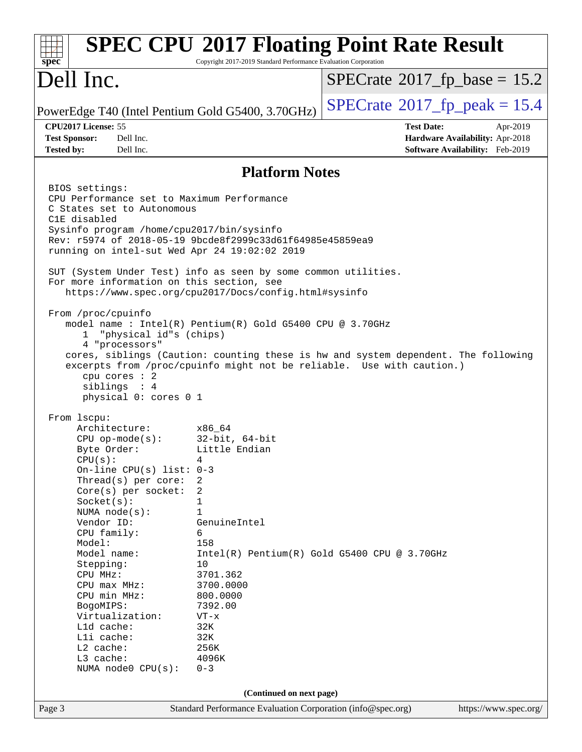| $spec^*$                                                                                                                                                                                                                                                                                                                                                                                                                                                                                                                                                                | Copyright 2017-2019 Standard Performance Evaluation Corporation                                                                                                                                                                                                                                                                                                                                                                                                                                                                                                                                                                                                                                                                                                                                                               | <b>SPEC CPU®2017 Floating Point Rate Result</b>                                                                                    |  |  |  |
|-------------------------------------------------------------------------------------------------------------------------------------------------------------------------------------------------------------------------------------------------------------------------------------------------------------------------------------------------------------------------------------------------------------------------------------------------------------------------------------------------------------------------------------------------------------------------|-------------------------------------------------------------------------------------------------------------------------------------------------------------------------------------------------------------------------------------------------------------------------------------------------------------------------------------------------------------------------------------------------------------------------------------------------------------------------------------------------------------------------------------------------------------------------------------------------------------------------------------------------------------------------------------------------------------------------------------------------------------------------------------------------------------------------------|------------------------------------------------------------------------------------------------------------------------------------|--|--|--|
| Dell Inc.                                                                                                                                                                                                                                                                                                                                                                                                                                                                                                                                                               |                                                                                                                                                                                                                                                                                                                                                                                                                                                                                                                                                                                                                                                                                                                                                                                                                               | $SPECrate^{\circ}2017$ fp base = 15.2                                                                                              |  |  |  |
|                                                                                                                                                                                                                                                                                                                                                                                                                                                                                                                                                                         | PowerEdge T40 (Intel Pentium Gold G5400, 3.70GHz)                                                                                                                                                                                                                                                                                                                                                                                                                                                                                                                                                                                                                                                                                                                                                                             | $SPECrate^{\circ}2017$ _fp_peak = 15.4                                                                                             |  |  |  |
| CPU2017 License: 55<br><b>Test Sponsor:</b><br>Dell Inc.<br><b>Tested by:</b><br>Dell Inc.                                                                                                                                                                                                                                                                                                                                                                                                                                                                              |                                                                                                                                                                                                                                                                                                                                                                                                                                                                                                                                                                                                                                                                                                                                                                                                                               | <b>Test Date:</b><br>Apr-2019<br>Hardware Availability: Apr-2018<br>Software Availability: Feb-2019                                |  |  |  |
| <b>Platform Notes</b>                                                                                                                                                                                                                                                                                                                                                                                                                                                                                                                                                   |                                                                                                                                                                                                                                                                                                                                                                                                                                                                                                                                                                                                                                                                                                                                                                                                                               |                                                                                                                                    |  |  |  |
| BIOS settings:<br>C States set to Autonomous<br>C1E disabled<br>From /proc/cpuinfo<br>1<br>4 "processors"<br>cpu cores : 2<br>siblings : 4<br>physical 0: cores 0 1<br>From lscpu:<br>Architecture:<br>$CPU$ op-mode( $s$ ):<br>Byte Order:<br>CPU(s):<br>Thread(s) per core:<br>$Core(s)$ per socket:<br>Socket(s):<br>NUMA $node(s)$ :<br>Vendor ID:<br>CPU family:<br>Model:<br>Model name:<br>Stepping:<br>CPU MHz:<br>$CPU$ max $MHz:$<br>CPU min MHz:<br>BogoMIPS:<br>Virtualization:<br>L1d cache:<br>Lli cache:<br>L2 cache:<br>L3 cache:<br>NUMA node0 CPU(s): | CPU Performance set to Maximum Performance<br>Sysinfo program /home/cpu2017/bin/sysinfo<br>Rev: r5974 of 2018-05-19 9bcde8f2999c33d61f64985e45859ea9<br>running on intel-sut Wed Apr 24 19:02:02 2019<br>SUT (System Under Test) info as seen by some common utilities.<br>For more information on this section, see<br>https://www.spec.org/cpu2017/Docs/config.html#sysinfo<br>model name : Intel(R) Pentium(R) Gold G5400 CPU @ 3.70GHz<br>"physical id"s (chips)<br>excerpts from /proc/cpuinfo might not be reliable. Use with caution.)<br>x86 64<br>32-bit, 64-bit<br>Little Endian<br>$\Lambda$<br>On-line CPU(s) list: $0-3$<br>2<br>2<br>1<br>1<br>GenuineIntel<br>6<br>158<br>10<br>3701.362<br>3700.0000<br>800.0000<br>7392.00<br>$VT - x$<br>32K<br>32K<br>256K<br>4096K<br>$0 - 3$<br>(Continued on next page) | cores, siblings (Caution: counting these is hw and system dependent. The following<br>Intel(R) Pentium(R) Gold G5400 CPU @ 3.70GHz |  |  |  |
| Page 3                                                                                                                                                                                                                                                                                                                                                                                                                                                                                                                                                                  | Standard Performance Evaluation Corporation (info@spec.org)                                                                                                                                                                                                                                                                                                                                                                                                                                                                                                                                                                                                                                                                                                                                                                   | https://www.spec.org/                                                                                                              |  |  |  |
|                                                                                                                                                                                                                                                                                                                                                                                                                                                                                                                                                                         |                                                                                                                                                                                                                                                                                                                                                                                                                                                                                                                                                                                                                                                                                                                                                                                                                               |                                                                                                                                    |  |  |  |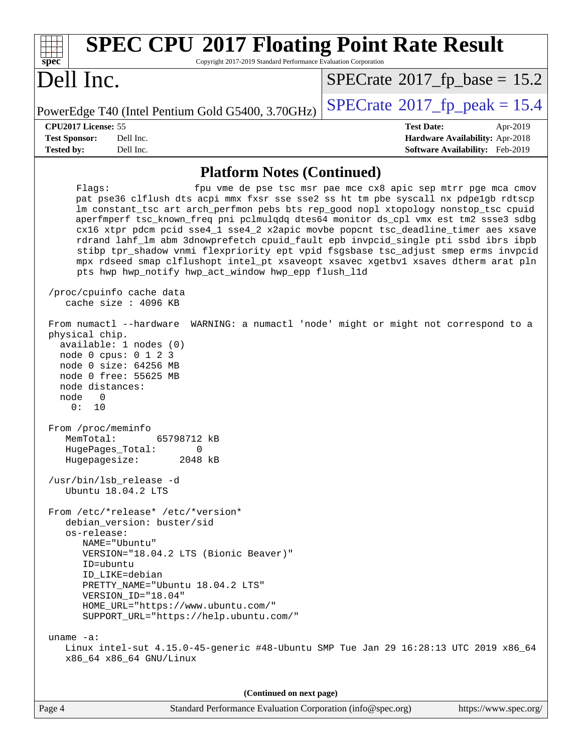| <b>SPEC CPU®2017 Floating Point Rate Result</b><br>Copyright 2017-2019 Standard Performance Evaluation Corporation<br>spec <sup>®</sup>                                                                                                                                                                                                                                                                                                                                                                                                                                                                                                                                                    |                                                               |
|--------------------------------------------------------------------------------------------------------------------------------------------------------------------------------------------------------------------------------------------------------------------------------------------------------------------------------------------------------------------------------------------------------------------------------------------------------------------------------------------------------------------------------------------------------------------------------------------------------------------------------------------------------------------------------------------|---------------------------------------------------------------|
| Dell Inc.                                                                                                                                                                                                                                                                                                                                                                                                                                                                                                                                                                                                                                                                                  | $SPECrate^{\circ}2017$ fp base = 15.2                         |
| PowerEdge T40 (Intel Pentium Gold G5400, 3.70GHz)                                                                                                                                                                                                                                                                                                                                                                                                                                                                                                                                                                                                                                          | $SPECrate$ <sup>®</sup> 2017_fp_peak = 15.4                   |
| CPU2017 License: 55                                                                                                                                                                                                                                                                                                                                                                                                                                                                                                                                                                                                                                                                        | <b>Test Date:</b><br>Apr-2019                                 |
| <b>Test Sponsor:</b><br>Dell Inc.                                                                                                                                                                                                                                                                                                                                                                                                                                                                                                                                                                                                                                                          | Hardware Availability: Apr-2018                               |
| Dell Inc.<br><b>Tested by:</b>                                                                                                                                                                                                                                                                                                                                                                                                                                                                                                                                                                                                                                                             | Software Availability: Feb-2019                               |
| <b>Platform Notes (Continued)</b>                                                                                                                                                                                                                                                                                                                                                                                                                                                                                                                                                                                                                                                          |                                                               |
| Flagg:<br>pat pse36 clflush dts acpi mmx fxsr sse sse2 ss ht tm pbe syscall nx pdpe1gb rdtscp<br>lm constant_tsc art arch_perfmon pebs bts rep_good nopl xtopology nonstop_tsc cpuid<br>aperfmperf tsc_known_freq pni pclmulqdq dtes64 monitor ds_cpl vmx est tm2 ssse3 sdbg<br>cx16 xtpr pdcm pcid sse4_1 sse4_2 x2apic movbe popcnt tsc_deadline_timer aes xsave<br>rdrand lahf_lm abm 3dnowprefetch cpuid_fault epb invpcid_single pti ssbd ibrs ibpb<br>stibp tpr_shadow vnmi flexpriority ept vpid fsgsbase tsc_adjust smep erms invpcid<br>mpx rdseed smap clflushopt intel_pt xsaveopt xsavec xgetbvl xsaves dtherm arat pln<br>pts hwp hwp_notify hwp_act_window hwp_epp flush_lld | fpu vme de pse tsc msr pae mce cx8 apic sep mtrr pge mca cmov |
| /proc/cpuinfo cache data<br>cache size : 4096 KB                                                                                                                                                                                                                                                                                                                                                                                                                                                                                                                                                                                                                                           |                                                               |
| From numactl --hardware WARNING: a numactl 'node' might or might not correspond to a<br>physical chip.<br>available: 1 nodes (0)<br>node 0 cpus: 0 1 2 3<br>node 0 size: 64256 MB<br>node 0 free: 55625 MB<br>node distances:<br>node<br>0<br>0:<br>10                                                                                                                                                                                                                                                                                                                                                                                                                                     |                                                               |
| From /proc/meminfo<br>MemTotal:<br>65798712 kB<br>HugePages_Total:<br>0<br>Hugepagesize: 2048 kB                                                                                                                                                                                                                                                                                                                                                                                                                                                                                                                                                                                           |                                                               |
| /usr/bin/lsb_release -d<br>Ubuntu 18.04.2 LTS                                                                                                                                                                                                                                                                                                                                                                                                                                                                                                                                                                                                                                              |                                                               |
| From /etc/*release* /etc/*version*<br>debian version: buster/sid<br>os-release:<br>NAME="Ubuntu"<br>VERSION="18.04.2 LTS (Bionic Beaver)"<br>ID=ubuntu<br>ID LIKE=debian<br>PRETTY_NAME="Ubuntu 18.04.2 LTS"<br>VERSION_ID="18.04"<br>HOME_URL="https://www.ubuntu.com/"<br>SUPPORT_URL="https://help.ubuntu.com/"<br>uname $-a$ :<br>Linux intel-sut 4.15.0-45-generic #48-Ubuntu SMP Tue Jan 29 16:28:13 UTC 2019 x86_64<br>x86_64 x86_64 GNU/Linux                                                                                                                                                                                                                                      |                                                               |
| (Continued on next page)                                                                                                                                                                                                                                                                                                                                                                                                                                                                                                                                                                                                                                                                   |                                                               |
| Standard Performance Evaluation Corporation (info@spec.org)<br>Page 4                                                                                                                                                                                                                                                                                                                                                                                                                                                                                                                                                                                                                      | https://www.spec.org/                                         |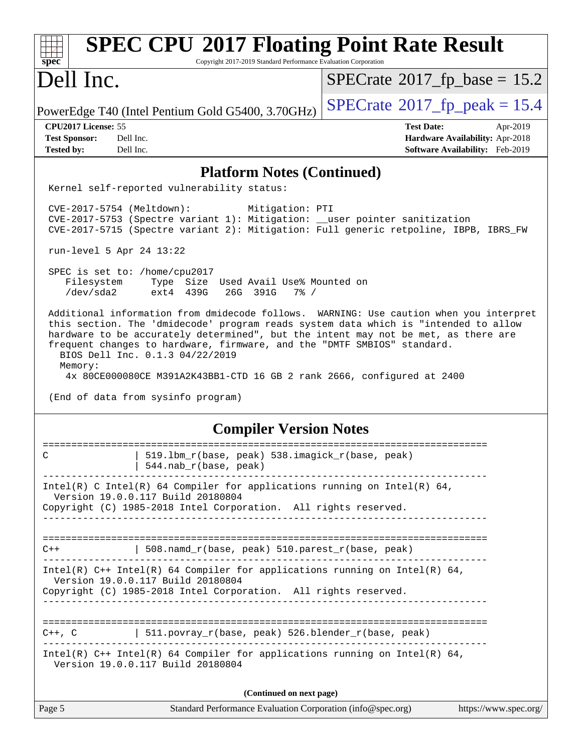| <b>SPEC CPU®2017 Floating Point Rate Result</b><br>Copyright 2017-2019 Standard Performance Evaluation Corporation<br>spec <sup>®</sup>                                                                                                                                                                                                                                                                                                                                                                      |                                                                                                     |  |  |  |  |  |
|--------------------------------------------------------------------------------------------------------------------------------------------------------------------------------------------------------------------------------------------------------------------------------------------------------------------------------------------------------------------------------------------------------------------------------------------------------------------------------------------------------------|-----------------------------------------------------------------------------------------------------|--|--|--|--|--|
| Dell Inc.                                                                                                                                                                                                                                                                                                                                                                                                                                                                                                    | $SPECrate^{\circ}2017$ fp base = 15.2                                                               |  |  |  |  |  |
| PowerEdge T40 (Intel Pentium Gold G5400, 3.70GHz)                                                                                                                                                                                                                                                                                                                                                                                                                                                            | $SPECrate^{\circ}2017$ _fp_peak = 15.4                                                              |  |  |  |  |  |
| <b>CPU2017 License: 55</b><br><b>Test Sponsor:</b><br>Dell Inc.<br><b>Tested by:</b><br>Dell Inc.                                                                                                                                                                                                                                                                                                                                                                                                            | <b>Test Date:</b><br>Apr-2019<br>Hardware Availability: Apr-2018<br>Software Availability: Feb-2019 |  |  |  |  |  |
| <b>Platform Notes (Continued)</b>                                                                                                                                                                                                                                                                                                                                                                                                                                                                            |                                                                                                     |  |  |  |  |  |
| Kernel self-reported vulnerability status:                                                                                                                                                                                                                                                                                                                                                                                                                                                                   |                                                                                                     |  |  |  |  |  |
| CVE-2017-5754 (Meltdown):<br>Mitigation: PTI<br>CVE-2017-5753 (Spectre variant 1): Mitigation: __user pointer sanitization<br>CVE-2017-5715 (Spectre variant 2): Mitigation: Full generic retpoline, IBPB, IBRS_FW                                                                                                                                                                                                                                                                                           |                                                                                                     |  |  |  |  |  |
| run-level 5 Apr 24 13:22                                                                                                                                                                                                                                                                                                                                                                                                                                                                                     |                                                                                                     |  |  |  |  |  |
| SPEC is set to: /home/cpu2017<br>Type Size Used Avail Use% Mounted on<br>Filesystem<br>/dev/sda2<br>ext4 439G<br>26G 391G<br>$7\frac{6}{6}$ /                                                                                                                                                                                                                                                                                                                                                                |                                                                                                     |  |  |  |  |  |
| Additional information from dmidecode follows. WARNING: Use caution when you interpret<br>this section. The 'dmidecode' program reads system data which is "intended to allow<br>hardware to be accurately determined", but the intent may not be met, as there are<br>frequent changes to hardware, firmware, and the "DMTF SMBIOS" standard.<br>BIOS Dell Inc. 0.1.3 04/22/2019<br>Memory:<br>4x 80CE000080CE M391A2K43BB1-CTD 16 GB 2 rank 2666, configured at 2400<br>(End of data from sysinfo program) |                                                                                                     |  |  |  |  |  |
| <b>Compiler Version Notes</b>                                                                                                                                                                                                                                                                                                                                                                                                                                                                                |                                                                                                     |  |  |  |  |  |
| 519.1bm_r(base, peak) 538.imagick_r(base, peak)<br>C<br>544.nab_r(base, peak)                                                                                                                                                                                                                                                                                                                                                                                                                                |                                                                                                     |  |  |  |  |  |
| Intel(R) C Intel(R) 64 Compiler for applications running on Intel(R) 64,<br>Version 19.0.0.117 Build 20180804<br>Copyright (C) 1985-2018 Intel Corporation. All rights reserved.                                                                                                                                                                                                                                                                                                                             |                                                                                                     |  |  |  |  |  |
| 508.namd_r(base, peak) 510.parest_r(base, peak)<br>$C++$                                                                                                                                                                                                                                                                                                                                                                                                                                                     |                                                                                                     |  |  |  |  |  |
| Intel(R) $C++$ Intel(R) 64 Compiler for applications running on Intel(R) 64,<br>Version 19.0.0.117 Build 20180804                                                                                                                                                                                                                                                                                                                                                                                            |                                                                                                     |  |  |  |  |  |
| Copyright (C) 1985-2018 Intel Corporation. All rights reserved.<br>--------------------------                                                                                                                                                                                                                                                                                                                                                                                                                |                                                                                                     |  |  |  |  |  |
| 511.povray_r(base, peak) 526.blender_r(base, peak)<br>$C++$ , $C$<br>Intel(R) $C++$ Intel(R) 64 Compiler for applications running on Intel(R) 64,                                                                                                                                                                                                                                                                                                                                                            |                                                                                                     |  |  |  |  |  |
| Version 19.0.0.117 Build 20180804                                                                                                                                                                                                                                                                                                                                                                                                                                                                            |                                                                                                     |  |  |  |  |  |
| (Continued on next page)                                                                                                                                                                                                                                                                                                                                                                                                                                                                                     |                                                                                                     |  |  |  |  |  |
| Page 5<br>Standard Performance Evaluation Corporation (info@spec.org)                                                                                                                                                                                                                                                                                                                                                                                                                                        | https://www.spec.org/                                                                               |  |  |  |  |  |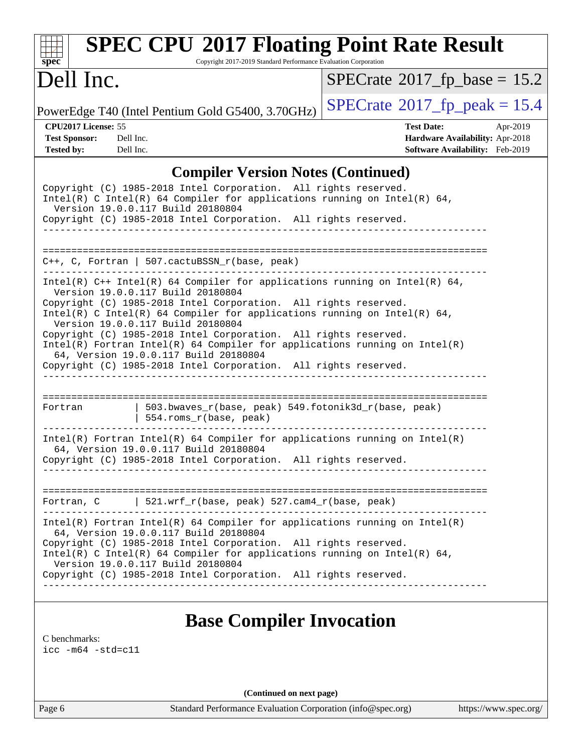| $spec^*$<br>Dell Inc.                                                                      | Copyright 2017-2019 Standard Performance Evaluation Corporation                                                                                                                                                                                                                                                                                                                                                                                                                      | $SPECrate^{\circ}2017$ fp base = 15.2                                                   |          |
|--------------------------------------------------------------------------------------------|--------------------------------------------------------------------------------------------------------------------------------------------------------------------------------------------------------------------------------------------------------------------------------------------------------------------------------------------------------------------------------------------------------------------------------------------------------------------------------------|-----------------------------------------------------------------------------------------|----------|
|                                                                                            | PowerEdge T40 (Intel Pentium Gold G5400, 3.70GHz)                                                                                                                                                                                                                                                                                                                                                                                                                                    | $SPECrate^{\circ}2017$ fp peak = 15.4                                                   |          |
| CPU2017 License: 55<br><b>Test Sponsor:</b><br>Dell Inc.<br><b>Tested by:</b><br>Dell Inc. |                                                                                                                                                                                                                                                                                                                                                                                                                                                                                      | <b>Test Date:</b><br>Hardware Availability: Apr-2018<br>Software Availability: Feb-2019 | Apr-2019 |
|                                                                                            | <b>Compiler Version Notes (Continued)</b>                                                                                                                                                                                                                                                                                                                                                                                                                                            |                                                                                         |          |
|                                                                                            | Copyright (C) 1985-2018 Intel Corporation. All rights reserved.<br>Intel(R) C Intel(R) 64 Compiler for applications running on Intel(R) 64,<br>Version 19.0.0.117 Build 20180804<br>Copyright (C) 1985-2018 Intel Corporation. All rights reserved.                                                                                                                                                                                                                                  |                                                                                         |          |
|                                                                                            | $C++$ , C, Fortran   507.cactuBSSN_r(base, peak)                                                                                                                                                                                                                                                                                                                                                                                                                                     |                                                                                         |          |
|                                                                                            |                                                                                                                                                                                                                                                                                                                                                                                                                                                                                      |                                                                                         |          |
|                                                                                            | Version 19.0.0.117 Build 20180804<br>Copyright (C) 1985-2018 Intel Corporation. All rights reserved.<br>Intel(R) C Intel(R) 64 Compiler for applications running on Intel(R) 64,<br>Version 19.0.0.117 Build 20180804<br>Copyright (C) 1985-2018 Intel Corporation. All rights reserved.<br>$Intel(R)$ Fortran Intel(R) 64 Compiler for applications running on Intel(R)<br>64, Version 19.0.0.117 Build 20180804<br>Copyright (C) 1985-2018 Intel Corporation. All rights reserved. | Intel(R) $C++$ Intel(R) 64 Compiler for applications running on Intel(R) 64,            |          |
| Fortran                                                                                    | 503.bwaves_r(base, peak) 549.fotonik3d_r(base, peak)<br>554.roms_r(base, peak)                                                                                                                                                                                                                                                                                                                                                                                                       |                                                                                         |          |
|                                                                                            | $Intel(R)$ Fortran Intel(R) 64 Compiler for applications running on Intel(R)<br>64, Version 19.0.0.117 Build 20180804<br>Copyright (C) 1985-2018 Intel Corporation. All rights reserved.                                                                                                                                                                                                                                                                                             |                                                                                         |          |
|                                                                                            | Fortran, $C$   521.wrf_r(base, peak) 527.cam4_r(base, peak)                                                                                                                                                                                                                                                                                                                                                                                                                          |                                                                                         |          |

### **[Base Compiler Invocation](http://www.spec.org/auto/cpu2017/Docs/result-fields.html#BaseCompilerInvocation)**

[C benchmarks](http://www.spec.org/auto/cpu2017/Docs/result-fields.html#Cbenchmarks): [icc -m64 -std=c11](http://www.spec.org/cpu2017/results/res2019q3/cpu2017-20190831-17328.flags.html#user_CCbase_intel_icc_64bit_c11_33ee0cdaae7deeeab2a9725423ba97205ce30f63b9926c2519791662299b76a0318f32ddfffdc46587804de3178b4f9328c46fa7c2b0cd779d7a61945c91cd35)

**(Continued on next page)**

Page 6 Standard Performance Evaluation Corporation [\(info@spec.org\)](mailto:info@spec.org) <https://www.spec.org/>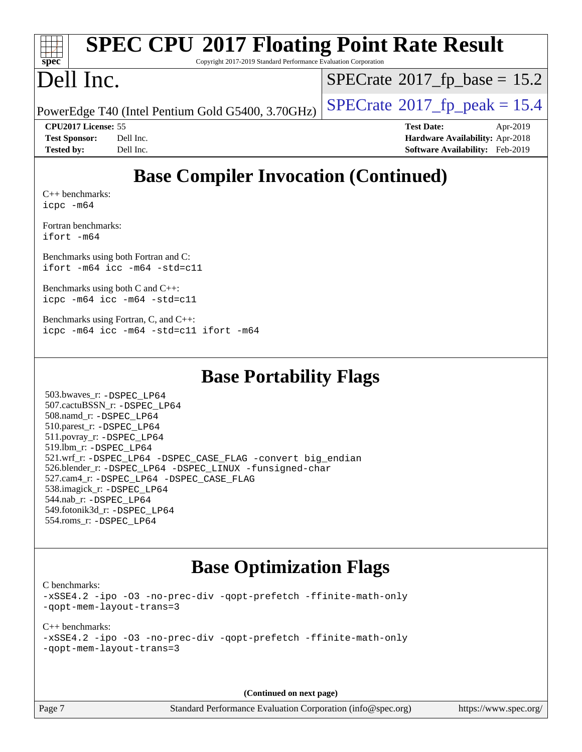| <b>SPEC CPU®2017 Floating Point Rate Result</b><br>Copyright 2017-2019 Standard Performance Evaluation Corporation<br>spec <sup>®</sup>                                                                                                                                                                                                                                                                                                                           |                                                                                                     |
|-------------------------------------------------------------------------------------------------------------------------------------------------------------------------------------------------------------------------------------------------------------------------------------------------------------------------------------------------------------------------------------------------------------------------------------------------------------------|-----------------------------------------------------------------------------------------------------|
| Dell Inc.                                                                                                                                                                                                                                                                                                                                                                                                                                                         | $SPECrate^{\circ}2017$ [p_base = 15.2                                                               |
| PowerEdge T40 (Intel Pentium Gold G5400, 3.70GHz)                                                                                                                                                                                                                                                                                                                                                                                                                 | $SPECrate^{\circ}2017$ _fp_peak = 15.4                                                              |
| CPU2017 License: 55<br><b>Test Sponsor:</b><br>Dell Inc.<br><b>Tested by:</b><br>Dell Inc.                                                                                                                                                                                                                                                                                                                                                                        | <b>Test Date:</b><br>Apr-2019<br>Hardware Availability: Apr-2018<br>Software Availability: Feb-2019 |
| <b>Base Compiler Invocation (Continued)</b>                                                                                                                                                                                                                                                                                                                                                                                                                       |                                                                                                     |
| $C_{++}$ benchmarks:<br>icpc -m64                                                                                                                                                                                                                                                                                                                                                                                                                                 |                                                                                                     |
| Fortran benchmarks:<br>ifort -m64                                                                                                                                                                                                                                                                                                                                                                                                                                 |                                                                                                     |
| Benchmarks using both Fortran and C:<br>ifort -m64 icc -m64 -std=c11                                                                                                                                                                                                                                                                                                                                                                                              |                                                                                                     |
| Benchmarks using both C and C++:<br>icpc -m64 icc -m64 -std=c11                                                                                                                                                                                                                                                                                                                                                                                                   |                                                                                                     |
| Benchmarks using Fortran, C, and C++:<br>icpc -m64 icc -m64 -std=c11 ifort -m64                                                                                                                                                                                                                                                                                                                                                                                   |                                                                                                     |
| <b>Base Portability Flags</b>                                                                                                                                                                                                                                                                                                                                                                                                                                     |                                                                                                     |
| 503.bwaves_r: -DSPEC_LP64<br>507.cactuBSSN_r: -DSPEC_LP64<br>508.namd_r: -DSPEC LP64<br>510.parest_r: -DSPEC_LP64<br>511.povray_r: -DSPEC_LP64<br>519.lbm_r: -DSPEC_LP64<br>521.wrf_r: -DSPEC LP64 -DSPEC CASE FLAG -convert big endian<br>526.blender_r: -DSPEC_LP64 -DSPEC_LINUX -funsigned-char<br>527.cam4_r: -DSPEC_LP64 -DSPEC_CASE_FLAG<br>538.imagick_r: -DSPEC_LP64<br>544.nab_r: -DSPEC_LP64<br>549.fotonik3d_r: -DSPEC_LP64<br>554.roms_r: -DSPEC_LP64 |                                                                                                     |
| <b>Base Optimization Flags</b><br>C benchmarks:                                                                                                                                                                                                                                                                                                                                                                                                                   |                                                                                                     |
| -xSSE4.2 -ipo -03 -no-prec-div -qopt-prefetch -ffinite-math-only<br>-qopt-mem-layout-trans=3                                                                                                                                                                                                                                                                                                                                                                      |                                                                                                     |
| $C++$ benchmarks:<br>-xSSE4.2 -ipo -03 -no-prec-div -qopt-prefetch -ffinite-math-only<br>-qopt-mem-layout-trans=3                                                                                                                                                                                                                                                                                                                                                 |                                                                                                     |
| (Continued on next page)                                                                                                                                                                                                                                                                                                                                                                                                                                          |                                                                                                     |
| Page 7<br>Standard Performance Evaluation Corporation (info@spec.org)                                                                                                                                                                                                                                                                                                                                                                                             | https://www.spec.org/                                                                               |
|                                                                                                                                                                                                                                                                                                                                                                                                                                                                   |                                                                                                     |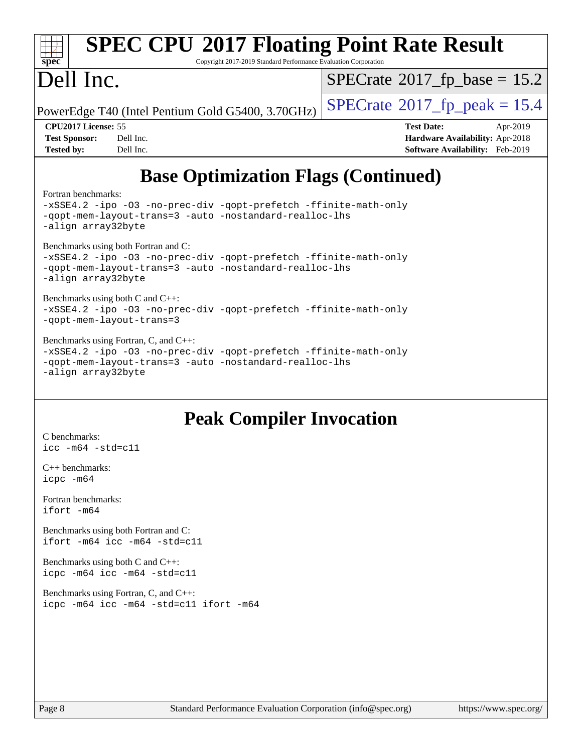

# **[SPEC CPU](http://www.spec.org/auto/cpu2017/Docs/result-fields.html#SPECCPU2017FloatingPointRateResult)[2017 Floating Point Rate Result](http://www.spec.org/auto/cpu2017/Docs/result-fields.html#SPECCPU2017FloatingPointRateResult)**

Copyright 2017-2019 Standard Performance Evaluation Corporation

## Dell Inc.

 $SPECTate@2017_fp\_base = 15.2$ 

PowerEdge T40 (Intel Pentium Gold G5400, 3.70GHz)  $\left|$  [SPECrate](http://www.spec.org/auto/cpu2017/Docs/result-fields.html#SPECrate2017fppeak)<sup>®</sup>[2017\\_fp\\_peak = 1](http://www.spec.org/auto/cpu2017/Docs/result-fields.html#SPECrate2017fppeak)5.4

**[CPU2017 License:](http://www.spec.org/auto/cpu2017/Docs/result-fields.html#CPU2017License)** 55 **[Test Date:](http://www.spec.org/auto/cpu2017/Docs/result-fields.html#TestDate)** Apr-2019 **[Test Sponsor:](http://www.spec.org/auto/cpu2017/Docs/result-fields.html#TestSponsor)** Dell Inc. **[Hardware Availability:](http://www.spec.org/auto/cpu2017/Docs/result-fields.html#HardwareAvailability)** Apr-2018 **[Tested by:](http://www.spec.org/auto/cpu2017/Docs/result-fields.html#Testedby)** Dell Inc. **[Software Availability:](http://www.spec.org/auto/cpu2017/Docs/result-fields.html#SoftwareAvailability)** Feb-2019

## **[Base Optimization Flags \(Continued\)](http://www.spec.org/auto/cpu2017/Docs/result-fields.html#BaseOptimizationFlags)**

[Fortran benchmarks](http://www.spec.org/auto/cpu2017/Docs/result-fields.html#Fortranbenchmarks):

```
-xSSE4.2 -ipo -O3 -no-prec-div -qopt-prefetch -ffinite-math-only
-qopt-mem-layout-trans=3 -auto -nostandard-realloc-lhs
-align array32byte
Benchmarks using both Fortran and C: 
-xSSE4.2 -ipo -O3 -no-prec-div -qopt-prefetch -ffinite-math-only
-qopt-mem-layout-trans=3 -auto -nostandard-realloc-lhs
-align array32byte
Benchmarks using both C and C++: 
-xSSE4.2 -ipo -O3 -no-prec-div -qopt-prefetch -ffinite-math-only
-qopt-mem-layout-trans=3
Benchmarks using Fortran, C, and C++: 
-xSSE4.2 -ipo -O3 -no-prec-div -qopt-prefetch -ffinite-math-only
-qopt-mem-layout-trans=3 -auto -nostandard-realloc-lhs
-align array32byte
```
### **[Peak Compiler Invocation](http://www.spec.org/auto/cpu2017/Docs/result-fields.html#PeakCompilerInvocation)**

[C benchmarks](http://www.spec.org/auto/cpu2017/Docs/result-fields.html#Cbenchmarks): [icc -m64 -std=c11](http://www.spec.org/cpu2017/results/res2019q3/cpu2017-20190831-17328.flags.html#user_CCpeak_intel_icc_64bit_c11_33ee0cdaae7deeeab2a9725423ba97205ce30f63b9926c2519791662299b76a0318f32ddfffdc46587804de3178b4f9328c46fa7c2b0cd779d7a61945c91cd35)

[C++ benchmarks:](http://www.spec.org/auto/cpu2017/Docs/result-fields.html#CXXbenchmarks) [icpc -m64](http://www.spec.org/cpu2017/results/res2019q3/cpu2017-20190831-17328.flags.html#user_CXXpeak_intel_icpc_64bit_4ecb2543ae3f1412ef961e0650ca070fec7b7afdcd6ed48761b84423119d1bf6bdf5cad15b44d48e7256388bc77273b966e5eb805aefd121eb22e9299b2ec9d9)

[Fortran benchmarks](http://www.spec.org/auto/cpu2017/Docs/result-fields.html#Fortranbenchmarks): [ifort -m64](http://www.spec.org/cpu2017/results/res2019q3/cpu2017-20190831-17328.flags.html#user_FCpeak_intel_ifort_64bit_24f2bb282fbaeffd6157abe4f878425411749daecae9a33200eee2bee2fe76f3b89351d69a8130dd5949958ce389cf37ff59a95e7a40d588e8d3a57e0c3fd751)

[Benchmarks using both Fortran and C](http://www.spec.org/auto/cpu2017/Docs/result-fields.html#BenchmarksusingbothFortranandC): [ifort -m64](http://www.spec.org/cpu2017/results/res2019q3/cpu2017-20190831-17328.flags.html#user_CC_FCpeak_intel_ifort_64bit_24f2bb282fbaeffd6157abe4f878425411749daecae9a33200eee2bee2fe76f3b89351d69a8130dd5949958ce389cf37ff59a95e7a40d588e8d3a57e0c3fd751) [icc -m64 -std=c11](http://www.spec.org/cpu2017/results/res2019q3/cpu2017-20190831-17328.flags.html#user_CC_FCpeak_intel_icc_64bit_c11_33ee0cdaae7deeeab2a9725423ba97205ce30f63b9926c2519791662299b76a0318f32ddfffdc46587804de3178b4f9328c46fa7c2b0cd779d7a61945c91cd35)

[Benchmarks using both C and C++](http://www.spec.org/auto/cpu2017/Docs/result-fields.html#BenchmarksusingbothCandCXX): [icpc -m64](http://www.spec.org/cpu2017/results/res2019q3/cpu2017-20190831-17328.flags.html#user_CC_CXXpeak_intel_icpc_64bit_4ecb2543ae3f1412ef961e0650ca070fec7b7afdcd6ed48761b84423119d1bf6bdf5cad15b44d48e7256388bc77273b966e5eb805aefd121eb22e9299b2ec9d9) [icc -m64 -std=c11](http://www.spec.org/cpu2017/results/res2019q3/cpu2017-20190831-17328.flags.html#user_CC_CXXpeak_intel_icc_64bit_c11_33ee0cdaae7deeeab2a9725423ba97205ce30f63b9926c2519791662299b76a0318f32ddfffdc46587804de3178b4f9328c46fa7c2b0cd779d7a61945c91cd35)

[Benchmarks using Fortran, C, and C++:](http://www.spec.org/auto/cpu2017/Docs/result-fields.html#BenchmarksusingFortranCandCXX) [icpc -m64](http://www.spec.org/cpu2017/results/res2019q3/cpu2017-20190831-17328.flags.html#user_CC_CXX_FCpeak_intel_icpc_64bit_4ecb2543ae3f1412ef961e0650ca070fec7b7afdcd6ed48761b84423119d1bf6bdf5cad15b44d48e7256388bc77273b966e5eb805aefd121eb22e9299b2ec9d9) [icc -m64 -std=c11](http://www.spec.org/cpu2017/results/res2019q3/cpu2017-20190831-17328.flags.html#user_CC_CXX_FCpeak_intel_icc_64bit_c11_33ee0cdaae7deeeab2a9725423ba97205ce30f63b9926c2519791662299b76a0318f32ddfffdc46587804de3178b4f9328c46fa7c2b0cd779d7a61945c91cd35) [ifort -m64](http://www.spec.org/cpu2017/results/res2019q3/cpu2017-20190831-17328.flags.html#user_CC_CXX_FCpeak_intel_ifort_64bit_24f2bb282fbaeffd6157abe4f878425411749daecae9a33200eee2bee2fe76f3b89351d69a8130dd5949958ce389cf37ff59a95e7a40d588e8d3a57e0c3fd751)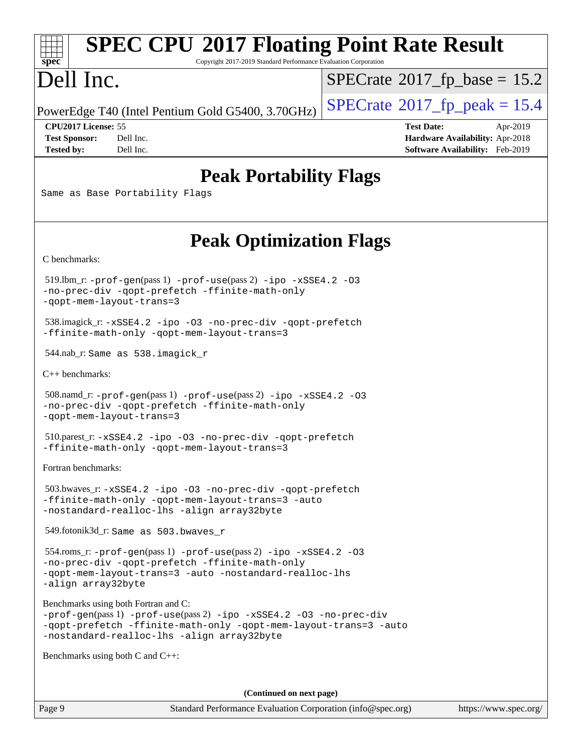#### **[SPEC CPU](http://www.spec.org/auto/cpu2017/Docs/result-fields.html#SPECCPU2017FloatingPointRateResult)[2017 Floating Point Rate Result](http://www.spec.org/auto/cpu2017/Docs/result-fields.html#SPECCPU2017FloatingPointRateResult)** H F **[spec](http://www.spec.org/)** Copyright 2017-2019 Standard Performance Evaluation Corporation Dell Inc.  $SPECTate@2017_fp\_base = 15.2$ PowerEdge T40 (Intel Pentium Gold G5400, 3.70GHz)  $\left|$  [SPECrate](http://www.spec.org/auto/cpu2017/Docs/result-fields.html#SPECrate2017fppeak)<sup>®</sup>[2017\\_fp\\_peak = 1](http://www.spec.org/auto/cpu2017/Docs/result-fields.html#SPECrate2017fppeak)5.4 **[CPU2017 License:](http://www.spec.org/auto/cpu2017/Docs/result-fields.html#CPU2017License)** 55 **[Test Date:](http://www.spec.org/auto/cpu2017/Docs/result-fields.html#TestDate)** Apr-2019 **[Test Sponsor:](http://www.spec.org/auto/cpu2017/Docs/result-fields.html#TestSponsor)** Dell Inc. **[Hardware Availability:](http://www.spec.org/auto/cpu2017/Docs/result-fields.html#HardwareAvailability)** Apr-2018 **[Tested by:](http://www.spec.org/auto/cpu2017/Docs/result-fields.html#Testedby)** Dell Inc. **[Software Availability:](http://www.spec.org/auto/cpu2017/Docs/result-fields.html#SoftwareAvailability)** Feb-2019 **[Peak Portability Flags](http://www.spec.org/auto/cpu2017/Docs/result-fields.html#PeakPortabilityFlags)** Same as Base Portability Flags **[Peak Optimization Flags](http://www.spec.org/auto/cpu2017/Docs/result-fields.html#PeakOptimizationFlags)** [C benchmarks](http://www.spec.org/auto/cpu2017/Docs/result-fields.html#Cbenchmarks): 519.lbm\_r: [-prof-gen](http://www.spec.org/cpu2017/results/res2019q3/cpu2017-20190831-17328.flags.html#user_peakPASS1_CFLAGSPASS1_LDFLAGS519_lbm_r_prof_gen_5aa4926d6013ddb2a31985c654b3eb18169fc0c6952a63635c234f711e6e63dd76e94ad52365559451ec499a2cdb89e4dc58ba4c67ef54ca681ffbe1461d6b36)(pass 1) [-prof-use](http://www.spec.org/cpu2017/results/res2019q3/cpu2017-20190831-17328.flags.html#user_peakPASS2_CFLAGSPASS2_LDFLAGS519_lbm_r_prof_use_1a21ceae95f36a2b53c25747139a6c16ca95bd9def2a207b4f0849963b97e94f5260e30a0c64f4bb623698870e679ca08317ef8150905d41bd88c6f78df73f19)(pass 2) [-ipo](http://www.spec.org/cpu2017/results/res2019q3/cpu2017-20190831-17328.flags.html#user_peakPASS1_COPTIMIZEPASS2_COPTIMIZE519_lbm_r_f-ipo) [-xSSE4.2](http://www.spec.org/cpu2017/results/res2019q3/cpu2017-20190831-17328.flags.html#user_peakPASS2_COPTIMIZE519_lbm_r_f-xSSE42_d85b2ac37ddc90662d11f1a4a8dc959d40ee6b8c1b95cdec45efdeb6594938334ecec49699063ec518cad6ffb0ae5f89c6821e9beeb549020603d53f71a41bf5) [-O3](http://www.spec.org/cpu2017/results/res2019q3/cpu2017-20190831-17328.flags.html#user_peakPASS1_COPTIMIZEPASS2_COPTIMIZE519_lbm_r_f-O3) [-no-prec-div](http://www.spec.org/cpu2017/results/res2019q3/cpu2017-20190831-17328.flags.html#user_peakPASS1_COPTIMIZEPASS2_COPTIMIZE519_lbm_r_f-no-prec-div) [-qopt-prefetch](http://www.spec.org/cpu2017/results/res2019q3/cpu2017-20190831-17328.flags.html#user_peakPASS1_COPTIMIZEPASS2_COPTIMIZE519_lbm_r_f-qopt-prefetch) [-ffinite-math-only](http://www.spec.org/cpu2017/results/res2019q3/cpu2017-20190831-17328.flags.html#user_peakPASS1_COPTIMIZEPASS2_COPTIMIZE519_lbm_r_f_finite_math_only_cb91587bd2077682c4b38af759c288ed7c732db004271a9512da14a4f8007909a5f1427ecbf1a0fb78ff2a814402c6114ac565ca162485bbcae155b5e4258871) [-qopt-mem-layout-trans=3](http://www.spec.org/cpu2017/results/res2019q3/cpu2017-20190831-17328.flags.html#user_peakPASS1_COPTIMIZEPASS2_COPTIMIZE519_lbm_r_f-qopt-mem-layout-trans) 538.imagick\_r: [-xSSE4.2](http://www.spec.org/cpu2017/results/res2019q3/cpu2017-20190831-17328.flags.html#user_peakCOPTIMIZE538_imagick_r_f-xSSE42_d85b2ac37ddc90662d11f1a4a8dc959d40ee6b8c1b95cdec45efdeb6594938334ecec49699063ec518cad6ffb0ae5f89c6821e9beeb549020603d53f71a41bf5) [-ipo](http://www.spec.org/cpu2017/results/res2019q3/cpu2017-20190831-17328.flags.html#user_peakCOPTIMIZE538_imagick_r_f-ipo) [-O3](http://www.spec.org/cpu2017/results/res2019q3/cpu2017-20190831-17328.flags.html#user_peakCOPTIMIZE538_imagick_r_f-O3) [-no-prec-div](http://www.spec.org/cpu2017/results/res2019q3/cpu2017-20190831-17328.flags.html#user_peakCOPTIMIZE538_imagick_r_f-no-prec-div) [-qopt-prefetch](http://www.spec.org/cpu2017/results/res2019q3/cpu2017-20190831-17328.flags.html#user_peakCOPTIMIZE538_imagick_r_f-qopt-prefetch) [-ffinite-math-only](http://www.spec.org/cpu2017/results/res2019q3/cpu2017-20190831-17328.flags.html#user_peakCOPTIMIZE538_imagick_r_f_finite_math_only_cb91587bd2077682c4b38af759c288ed7c732db004271a9512da14a4f8007909a5f1427ecbf1a0fb78ff2a814402c6114ac565ca162485bbcae155b5e4258871) [-qopt-mem-layout-trans=3](http://www.spec.org/cpu2017/results/res2019q3/cpu2017-20190831-17328.flags.html#user_peakCOPTIMIZE538_imagick_r_f-qopt-mem-layout-trans) 544.nab\_r: Same as 538.imagick\_r [C++ benchmarks:](http://www.spec.org/auto/cpu2017/Docs/result-fields.html#CXXbenchmarks) 508.namd\_r: [-prof-gen](http://www.spec.org/cpu2017/results/res2019q3/cpu2017-20190831-17328.flags.html#user_peakPASS1_CXXFLAGSPASS1_LDFLAGS508_namd_r_prof_gen_5aa4926d6013ddb2a31985c654b3eb18169fc0c6952a63635c234f711e6e63dd76e94ad52365559451ec499a2cdb89e4dc58ba4c67ef54ca681ffbe1461d6b36)(pass 1) [-prof-use](http://www.spec.org/cpu2017/results/res2019q3/cpu2017-20190831-17328.flags.html#user_peakPASS2_CXXFLAGSPASS2_LDFLAGS508_namd_r_prof_use_1a21ceae95f36a2b53c25747139a6c16ca95bd9def2a207b4f0849963b97e94f5260e30a0c64f4bb623698870e679ca08317ef8150905d41bd88c6f78df73f19)(pass 2) [-ipo](http://www.spec.org/cpu2017/results/res2019q3/cpu2017-20190831-17328.flags.html#user_peakPASS1_CXXOPTIMIZEPASS2_CXXOPTIMIZE508_namd_r_f-ipo) [-xSSE4.2](http://www.spec.org/cpu2017/results/res2019q3/cpu2017-20190831-17328.flags.html#user_peakPASS2_CXXOPTIMIZE508_namd_r_f-xSSE42_d85b2ac37ddc90662d11f1a4a8dc959d40ee6b8c1b95cdec45efdeb6594938334ecec49699063ec518cad6ffb0ae5f89c6821e9beeb549020603d53f71a41bf5) [-O3](http://www.spec.org/cpu2017/results/res2019q3/cpu2017-20190831-17328.flags.html#user_peakPASS1_CXXOPTIMIZEPASS2_CXXOPTIMIZE508_namd_r_f-O3) [-no-prec-div](http://www.spec.org/cpu2017/results/res2019q3/cpu2017-20190831-17328.flags.html#user_peakPASS1_CXXOPTIMIZEPASS2_CXXOPTIMIZE508_namd_r_f-no-prec-div) [-qopt-prefetch](http://www.spec.org/cpu2017/results/res2019q3/cpu2017-20190831-17328.flags.html#user_peakPASS1_CXXOPTIMIZEPASS2_CXXOPTIMIZE508_namd_r_f-qopt-prefetch) [-ffinite-math-only](http://www.spec.org/cpu2017/results/res2019q3/cpu2017-20190831-17328.flags.html#user_peakPASS1_CXXOPTIMIZEPASS2_CXXOPTIMIZE508_namd_r_f_finite_math_only_cb91587bd2077682c4b38af759c288ed7c732db004271a9512da14a4f8007909a5f1427ecbf1a0fb78ff2a814402c6114ac565ca162485bbcae155b5e4258871) [-qopt-mem-layout-trans=3](http://www.spec.org/cpu2017/results/res2019q3/cpu2017-20190831-17328.flags.html#user_peakPASS1_CXXOPTIMIZEPASS2_CXXOPTIMIZE508_namd_r_f-qopt-mem-layout-trans) 510.parest\_r: [-xSSE4.2](http://www.spec.org/cpu2017/results/res2019q3/cpu2017-20190831-17328.flags.html#user_peakCXXOPTIMIZE510_parest_r_f-xSSE42_d85b2ac37ddc90662d11f1a4a8dc959d40ee6b8c1b95cdec45efdeb6594938334ecec49699063ec518cad6ffb0ae5f89c6821e9beeb549020603d53f71a41bf5) [-ipo](http://www.spec.org/cpu2017/results/res2019q3/cpu2017-20190831-17328.flags.html#user_peakCXXOPTIMIZE510_parest_r_f-ipo) [-O3](http://www.spec.org/cpu2017/results/res2019q3/cpu2017-20190831-17328.flags.html#user_peakCXXOPTIMIZE510_parest_r_f-O3) [-no-prec-div](http://www.spec.org/cpu2017/results/res2019q3/cpu2017-20190831-17328.flags.html#user_peakCXXOPTIMIZE510_parest_r_f-no-prec-div) [-qopt-prefetch](http://www.spec.org/cpu2017/results/res2019q3/cpu2017-20190831-17328.flags.html#user_peakCXXOPTIMIZE510_parest_r_f-qopt-prefetch) [-ffinite-math-only](http://www.spec.org/cpu2017/results/res2019q3/cpu2017-20190831-17328.flags.html#user_peakCXXOPTIMIZE510_parest_r_f_finite_math_only_cb91587bd2077682c4b38af759c288ed7c732db004271a9512da14a4f8007909a5f1427ecbf1a0fb78ff2a814402c6114ac565ca162485bbcae155b5e4258871) [-qopt-mem-layout-trans=3](http://www.spec.org/cpu2017/results/res2019q3/cpu2017-20190831-17328.flags.html#user_peakCXXOPTIMIZE510_parest_r_f-qopt-mem-layout-trans) [Fortran benchmarks](http://www.spec.org/auto/cpu2017/Docs/result-fields.html#Fortranbenchmarks): 503.bwaves\_r: [-xSSE4.2](http://www.spec.org/cpu2017/results/res2019q3/cpu2017-20190831-17328.flags.html#user_peakFOPTIMIZE503_bwaves_r_f-xSSE42_d85b2ac37ddc90662d11f1a4a8dc959d40ee6b8c1b95cdec45efdeb6594938334ecec49699063ec518cad6ffb0ae5f89c6821e9beeb549020603d53f71a41bf5) [-ipo](http://www.spec.org/cpu2017/results/res2019q3/cpu2017-20190831-17328.flags.html#user_peakFOPTIMIZE503_bwaves_r_f-ipo) [-O3](http://www.spec.org/cpu2017/results/res2019q3/cpu2017-20190831-17328.flags.html#user_peakFOPTIMIZE503_bwaves_r_f-O3) [-no-prec-div](http://www.spec.org/cpu2017/results/res2019q3/cpu2017-20190831-17328.flags.html#user_peakFOPTIMIZE503_bwaves_r_f-no-prec-div) [-qopt-prefetch](http://www.spec.org/cpu2017/results/res2019q3/cpu2017-20190831-17328.flags.html#user_peakFOPTIMIZE503_bwaves_r_f-qopt-prefetch) [-ffinite-math-only](http://www.spec.org/cpu2017/results/res2019q3/cpu2017-20190831-17328.flags.html#user_peakFOPTIMIZE503_bwaves_r_f_finite_math_only_cb91587bd2077682c4b38af759c288ed7c732db004271a9512da14a4f8007909a5f1427ecbf1a0fb78ff2a814402c6114ac565ca162485bbcae155b5e4258871) [-qopt-mem-layout-trans=3](http://www.spec.org/cpu2017/results/res2019q3/cpu2017-20190831-17328.flags.html#user_peakFOPTIMIZE503_bwaves_r_f-qopt-mem-layout-trans) [-auto](http://www.spec.org/cpu2017/results/res2019q3/cpu2017-20190831-17328.flags.html#user_peakFOPTIMIZE503_bwaves_r_f-auto) [-nostandard-realloc-lhs](http://www.spec.org/cpu2017/results/res2019q3/cpu2017-20190831-17328.flags.html#user_peakEXTRA_FOPTIMIZE503_bwaves_r_f_2003_std_realloc_82b4557e90729c0f113870c07e44d33d6f5a304b4f63d4c15d2d0f1fab99f5daaed73bdb9275d9ae411527f28b936061aa8b9c8f2d63842963b95c9dd6426b8a) [-align array32byte](http://www.spec.org/cpu2017/results/res2019q3/cpu2017-20190831-17328.flags.html#user_peakEXTRA_FOPTIMIZE503_bwaves_r_align_array32byte_b982fe038af199962ba9a80c053b8342c548c85b40b8e86eb3cc33dee0d7986a4af373ac2d51c3f7cf710a18d62fdce2948f201cd044323541f22fc0fffc51b6) 549.fotonik3d\_r: Same as 503.bwaves\_r 554.roms\_r: [-prof-gen](http://www.spec.org/cpu2017/results/res2019q3/cpu2017-20190831-17328.flags.html#user_peakPASS1_FFLAGSPASS1_LDFLAGS554_roms_r_prof_gen_5aa4926d6013ddb2a31985c654b3eb18169fc0c6952a63635c234f711e6e63dd76e94ad52365559451ec499a2cdb89e4dc58ba4c67ef54ca681ffbe1461d6b36)(pass 1) [-prof-use](http://www.spec.org/cpu2017/results/res2019q3/cpu2017-20190831-17328.flags.html#user_peakPASS2_FFLAGSPASS2_LDFLAGS554_roms_r_prof_use_1a21ceae95f36a2b53c25747139a6c16ca95bd9def2a207b4f0849963b97e94f5260e30a0c64f4bb623698870e679ca08317ef8150905d41bd88c6f78df73f19)(pass 2) [-ipo](http://www.spec.org/cpu2017/results/res2019q3/cpu2017-20190831-17328.flags.html#user_peakPASS1_FOPTIMIZEPASS2_FOPTIMIZE554_roms_r_f-ipo) [-xSSE4.2](http://www.spec.org/cpu2017/results/res2019q3/cpu2017-20190831-17328.flags.html#user_peakPASS2_FOPTIMIZE554_roms_r_f-xSSE42_d85b2ac37ddc90662d11f1a4a8dc959d40ee6b8c1b95cdec45efdeb6594938334ecec49699063ec518cad6ffb0ae5f89c6821e9beeb549020603d53f71a41bf5) [-O3](http://www.spec.org/cpu2017/results/res2019q3/cpu2017-20190831-17328.flags.html#user_peakPASS1_FOPTIMIZEPASS2_FOPTIMIZE554_roms_r_f-O3) [-no-prec-div](http://www.spec.org/cpu2017/results/res2019q3/cpu2017-20190831-17328.flags.html#user_peakPASS1_FOPTIMIZEPASS2_FOPTIMIZE554_roms_r_f-no-prec-div) [-qopt-prefetch](http://www.spec.org/cpu2017/results/res2019q3/cpu2017-20190831-17328.flags.html#user_peakPASS1_FOPTIMIZEPASS2_FOPTIMIZE554_roms_r_f-qopt-prefetch) [-ffinite-math-only](http://www.spec.org/cpu2017/results/res2019q3/cpu2017-20190831-17328.flags.html#user_peakPASS1_FOPTIMIZEPASS2_FOPTIMIZE554_roms_r_f_finite_math_only_cb91587bd2077682c4b38af759c288ed7c732db004271a9512da14a4f8007909a5f1427ecbf1a0fb78ff2a814402c6114ac565ca162485bbcae155b5e4258871) [-qopt-mem-layout-trans=3](http://www.spec.org/cpu2017/results/res2019q3/cpu2017-20190831-17328.flags.html#user_peakPASS1_FOPTIMIZEPASS2_FOPTIMIZE554_roms_r_f-qopt-mem-layout-trans) [-auto](http://www.spec.org/cpu2017/results/res2019q3/cpu2017-20190831-17328.flags.html#user_peakPASS2_FOPTIMIZE554_roms_r_f-auto) [-nostandard-realloc-lhs](http://www.spec.org/cpu2017/results/res2019q3/cpu2017-20190831-17328.flags.html#user_peakEXTRA_FOPTIMIZE554_roms_r_f_2003_std_realloc_82b4557e90729c0f113870c07e44d33d6f5a304b4f63d4c15d2d0f1fab99f5daaed73bdb9275d9ae411527f28b936061aa8b9c8f2d63842963b95c9dd6426b8a) [-align array32byte](http://www.spec.org/cpu2017/results/res2019q3/cpu2017-20190831-17328.flags.html#user_peakEXTRA_FOPTIMIZE554_roms_r_align_array32byte_b982fe038af199962ba9a80c053b8342c548c85b40b8e86eb3cc33dee0d7986a4af373ac2d51c3f7cf710a18d62fdce2948f201cd044323541f22fc0fffc51b6) [Benchmarks using both Fortran and C](http://www.spec.org/auto/cpu2017/Docs/result-fields.html#BenchmarksusingbothFortranandC): [-prof-gen](http://www.spec.org/cpu2017/results/res2019q3/cpu2017-20190831-17328.flags.html#user_CC_FCpeak_prof_gen_5aa4926d6013ddb2a31985c654b3eb18169fc0c6952a63635c234f711e6e63dd76e94ad52365559451ec499a2cdb89e4dc58ba4c67ef54ca681ffbe1461d6b36)(pass 1) [-prof-use](http://www.spec.org/cpu2017/results/res2019q3/cpu2017-20190831-17328.flags.html#user_CC_FCpeak_prof_use_1a21ceae95f36a2b53c25747139a6c16ca95bd9def2a207b4f0849963b97e94f5260e30a0c64f4bb623698870e679ca08317ef8150905d41bd88c6f78df73f19)(pass 2) [-ipo](http://www.spec.org/cpu2017/results/res2019q3/cpu2017-20190831-17328.flags.html#user_CC_FCpeak_f-ipo) [-xSSE4.2](http://www.spec.org/cpu2017/results/res2019q3/cpu2017-20190831-17328.flags.html#user_CC_FCpeak_f-xSSE42_d85b2ac37ddc90662d11f1a4a8dc959d40ee6b8c1b95cdec45efdeb6594938334ecec49699063ec518cad6ffb0ae5f89c6821e9beeb549020603d53f71a41bf5) [-O3](http://www.spec.org/cpu2017/results/res2019q3/cpu2017-20190831-17328.flags.html#user_CC_FCpeak_f-O3) [-no-prec-div](http://www.spec.org/cpu2017/results/res2019q3/cpu2017-20190831-17328.flags.html#user_CC_FCpeak_f-no-prec-div) [-qopt-prefetch](http://www.spec.org/cpu2017/results/res2019q3/cpu2017-20190831-17328.flags.html#user_CC_FCpeak_f-qopt-prefetch) [-ffinite-math-only](http://www.spec.org/cpu2017/results/res2019q3/cpu2017-20190831-17328.flags.html#user_CC_FCpeak_f_finite_math_only_cb91587bd2077682c4b38af759c288ed7c732db004271a9512da14a4f8007909a5f1427ecbf1a0fb78ff2a814402c6114ac565ca162485bbcae155b5e4258871) [-qopt-mem-layout-trans=3](http://www.spec.org/cpu2017/results/res2019q3/cpu2017-20190831-17328.flags.html#user_CC_FCpeak_f-qopt-mem-layout-trans) [-auto](http://www.spec.org/cpu2017/results/res2019q3/cpu2017-20190831-17328.flags.html#user_CC_FCpeak_f-auto) [-nostandard-realloc-lhs](http://www.spec.org/cpu2017/results/res2019q3/cpu2017-20190831-17328.flags.html#user_CC_FCpeak_f_2003_std_realloc_82b4557e90729c0f113870c07e44d33d6f5a304b4f63d4c15d2d0f1fab99f5daaed73bdb9275d9ae411527f28b936061aa8b9c8f2d63842963b95c9dd6426b8a) [-align array32byte](http://www.spec.org/cpu2017/results/res2019q3/cpu2017-20190831-17328.flags.html#user_CC_FCpeak_align_array32byte_b982fe038af199962ba9a80c053b8342c548c85b40b8e86eb3cc33dee0d7986a4af373ac2d51c3f7cf710a18d62fdce2948f201cd044323541f22fc0fffc51b6) [Benchmarks using both C and C++](http://www.spec.org/auto/cpu2017/Docs/result-fields.html#BenchmarksusingbothCandCXX): **(Continued on next page)**

Page 9 Standard Performance Evaluation Corporation [\(info@spec.org\)](mailto:info@spec.org) <https://www.spec.org/>